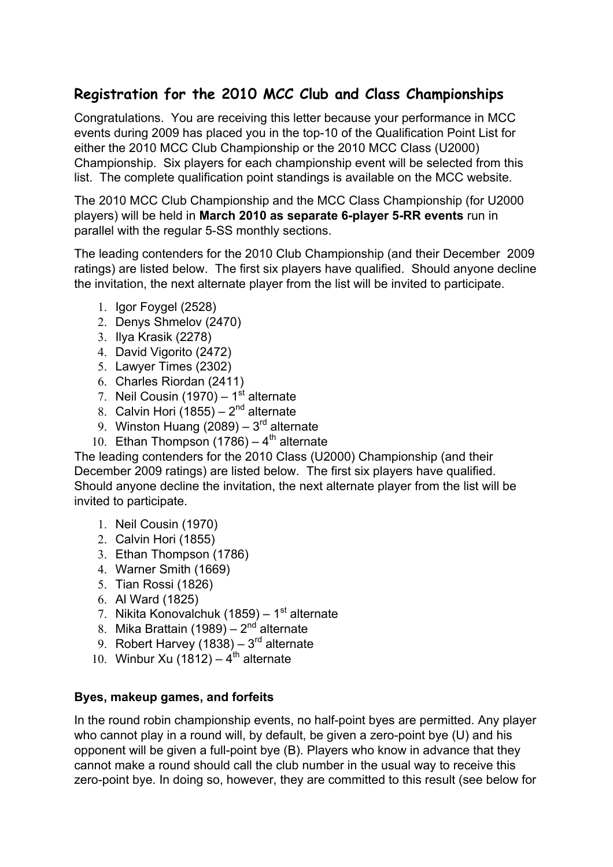# **Registration for the 2010 MCC Club and Class Championships**

Congratulations. You are receiving this letter because your performance in MCC events during 2009 has placed you in the top-10 of the Qualification Point List for either the 2010 MCC Club Championship or the 2010 MCC Class (U2000) Championship. Six players for each championship event will be selected from this list. The complete qualification point standings is available on the MCC website.

The 2010 MCC Club Championship and the MCC Class Championship (for U2000 players) will be held in **March 2010 as separate 6-player 5-RR events** run in parallel with the regular 5-SS monthly sections.

The leading contenders for the 2010 Club Championship (and their December 2009 ratings) are listed below. The first six players have qualified. Should anyone decline the invitation, the next alternate player from the list will be invited to participate.

- 1. Igor Foygel (2528)
- 2. Denys Shmelov (2470)
- 3. Ilya Krasik (2278)
- 4. David Vigorito (2472)
- 5. Lawyer Times (2302)
- 6. Charles Riordan (2411)
- 7. Neil Cousin (1970)  $1<sup>st</sup>$  alternate
- 8. Calvin Hori  $(1855) 2^{nd}$  alternate
- 9. Winston Huang (2089)  $3<sup>rd</sup>$  alternate
- 10. Ethan Thompson (1786)  $4<sup>th</sup>$  alternate

The leading contenders for the 2010 Class (U2000) Championship (and their December 2009 ratings) are listed below. The first six players have qualified. Should anyone decline the invitation, the next alternate player from the list will be invited to participate.

- 1. Neil Cousin (1970)
- 2. Calvin Hori (1855)
- 3. Ethan Thompson (1786)
- 4. Warner Smith (1669)
- 5. Tian Rossi (1826)
- 6. Al Ward (1825)
- 7. Nikita Konovalchuk (1859) 1 $\mathrm{st}$  alternate
- 8. Mika Brattain (1989)  $2<sup>nd</sup>$  alternate
- 9. Robert Harvey (1838)  $3<sup>rd</sup>$  alternate
- 10. Winbur Xu (1812)  $4^{th}$  alternate

### **Byes, makeup games, and forfeits**

In the round robin championship events, no half-point byes are permitted. Any player who cannot play in a round will, by default, be given a zero-point bye (U) and his opponent will be given a full-point bye (B). Players who know in advance that they cannot make a round should call the club number in the usual way to receive this zero-point bye. In doing so, however, they are committed to this result (see below for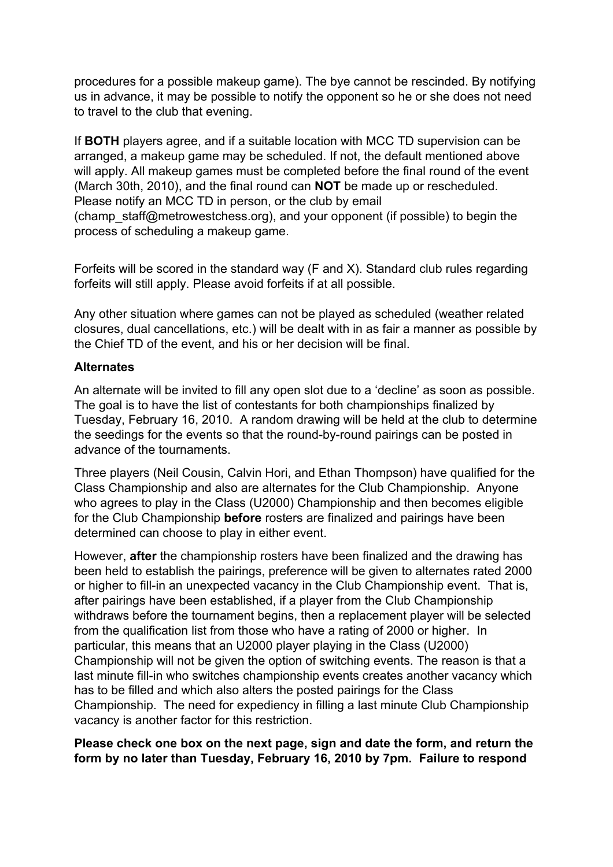procedures for a possible makeup game). The bye cannot be rescinded. By notifying us in advance, it may be possible to notify the opponent so he or she does not need to travel to the club that evening.

If **BOTH** players agree, and if a suitable location with MCC TD supervision can be arranged, a makeup game may be scheduled. If not, the default mentioned above will apply. All makeup games must be completed before the final round of the event (March 30th, 2010), and the final round can **NOT** be made up or rescheduled. Please notify an MCC TD in person, or the club by email (champ\_staff@metrowestchess.org), and your opponent (if possible) to begin the process of scheduling a makeup game.

Forfeits will be scored in the standard way (F and X). Standard club rules regarding forfeits will still apply. Please avoid forfeits if at all possible.

Any other situation where games can not be played as scheduled (weather related closures, dual cancellations, etc.) will be dealt with in as fair a manner as possible by the Chief TD of the event, and his or her decision will be final.

### **Alternates**

An alternate will be invited to fill any open slot due to a 'decline' as soon as possible. The goal is to have the list of contestants for both championships finalized by Tuesday, February 16, 2010. A random drawing will be held at the club to determine the seedings for the events so that the round-by-round pairings can be posted in advance of the tournaments.

Three players (Neil Cousin, Calvin Hori, and Ethan Thompson) have qualified for the Class Championship and also are alternates for the Club Championship. Anyone who agrees to play in the Class (U2000) Championship and then becomes eligible for the Club Championship **before** rosters are finalized and pairings have been determined can choose to play in either event.

However, **after** the championship rosters have been finalized and the drawing has been held to establish the pairings, preference will be given to alternates rated 2000 or higher to fill-in an unexpected vacancy in the Club Championship event. That is, after pairings have been established, if a player from the Club Championship withdraws before the tournament begins, then a replacement player will be selected from the qualification list from those who have a rating of 2000 or higher. In particular, this means that an U2000 player playing in the Class (U2000) Championship will not be given the option of switching events. The reason is that a last minute fill-in who switches championship events creates another vacancy which has to be filled and which also alters the posted pairings for the Class Championship. The need for expediency in filling a last minute Club Championship vacancy is another factor for this restriction.

### **Please check one box on the next page, sign and date the form, and return the form by no later than Tuesday, February 16, 2010 by 7pm. Failure to respond**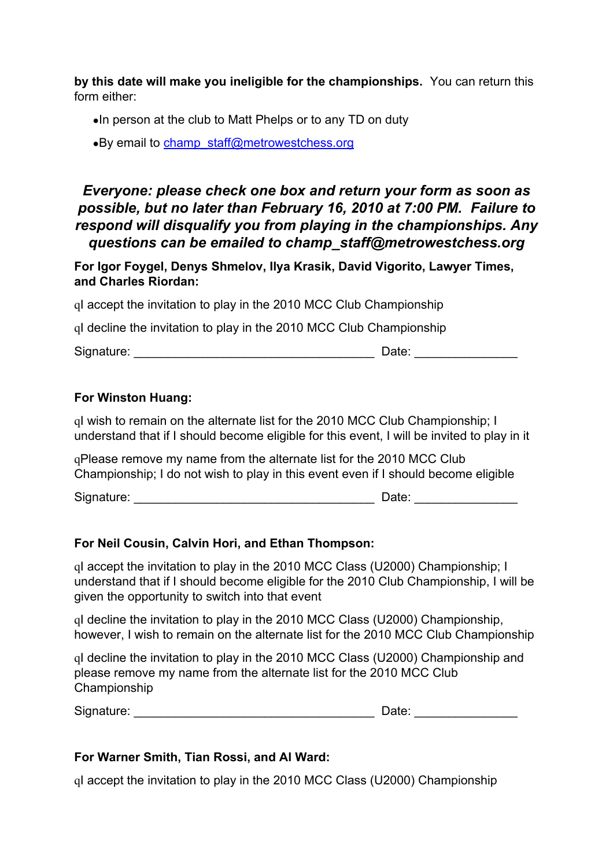**by this date will make you ineligible for the championships.** You can return this form either:

●In person at the club to Matt Phelps or to any TD on duty

•By email to [champ\\_staff@metrowestchess.org](mailto:champ_staff@metrowestchess.org)

## *Everyone: please check one box and return your form as soon as possible, but no later than February 16, 2010 at 7:00 PM. Failure to respond will disqualify you from playing in the championships. Any questions can be emailed to champ\_staff@metrowestchess.org*

**For Igor Foygel, Denys Shmelov, Ilya Krasik, David Vigorito, Lawyer Times, and Charles Riordan:**

qI accept the invitation to play in the 2010 MCC Club Championship

qI decline the invitation to play in the 2010 MCC Club Championship

| Signature: | Date: |  |
|------------|-------|--|
|            |       |  |

## **For Winston Huang:**

qI wish to remain on the alternate list for the 2010 MCC Club Championship; I understand that if I should become eligible for this event, I will be invited to play in it

qPlease remove my name from the alternate list for the 2010 MCC Club Championship; I do not wish to play in this event even if I should become eligible

Signature: \_\_\_\_\_\_\_\_\_\_\_\_\_\_\_\_\_\_\_\_\_\_\_\_\_\_\_\_\_\_\_\_\_\_\_ Date: \_\_\_\_\_\_\_\_\_\_\_\_\_\_\_

## **For Neil Cousin, Calvin Hori, and Ethan Thompson:**

qI accept the invitation to play in the 2010 MCC Class (U2000) Championship; I understand that if I should become eligible for the 2010 Club Championship, I will be given the opportunity to switch into that event

qI decline the invitation to play in the 2010 MCC Class (U2000) Championship, however, I wish to remain on the alternate list for the 2010 MCC Club Championship

qI decline the invitation to play in the 2010 MCC Class (U2000) Championship and please remove my name from the alternate list for the 2010 MCC Club Championship

Signature: \_\_\_\_\_\_\_\_\_\_\_\_\_\_\_\_\_\_\_\_\_\_\_\_\_\_\_\_\_\_\_\_\_\_\_ Date: \_\_\_\_\_\_\_\_\_\_\_\_\_\_\_

## **For Warner Smith, Tian Rossi, and Al Ward:**

qI accept the invitation to play in the 2010 MCC Class (U2000) Championship